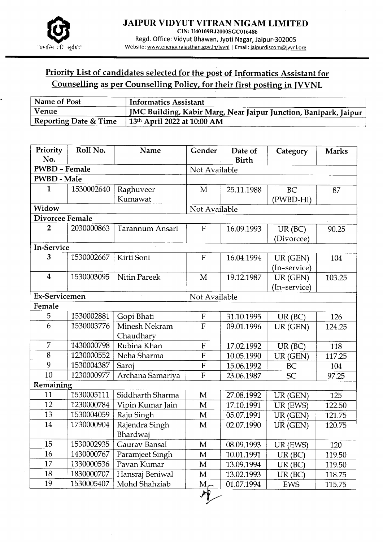

## Priority List of candidates selected for the post of Informatics Assistant for Counselling as per Counselling Policy, for their first posting in IVVNL

| Name of Post                     | <b>Informatics Assistant</b>                                     |
|----------------------------------|------------------------------------------------------------------|
| Venue                            | JMC Building, Kabir Marg, Near Jaipur Junction, Banipark, Jaipur |
| <b>Reporting Date &amp; Time</b> | $13th$ April 2022 at 10:00 AM                                    |

| Priority<br>No.         | Roll No.   | Name                       | Gender                    | Date of<br><b>Birth</b> | Category                | <b>Marks</b> |  |
|-------------------------|------------|----------------------------|---------------------------|-------------------------|-------------------------|--------------|--|
| <b>PWBD - Female</b>    |            |                            | Not Available             |                         |                         |              |  |
| <b>PWBD - Male</b>      |            |                            |                           |                         |                         |              |  |
| $\mathbf{1}$            | 1530002640 | Raghuveer                  | M                         | 25.11.1988              | <b>BC</b>               | 87           |  |
|                         |            | Kumawat                    |                           |                         | (PWBD-HI)               |              |  |
| Widow                   |            |                            | Not Available             |                         |                         |              |  |
| Divorcee Female         |            |                            |                           |                         |                         |              |  |
| $\overline{2}$          | 2030000863 | Tarannum Ansari            | $\mathbf{F}$              | 16.09.1993              | $UR$ (BC)<br>(Divorcee) | 90.25        |  |
| In-Service              |            |                            |                           |                         |                         |              |  |
| 3                       | 1530002667 | Kirti Soni                 | $\rm F$                   | 16.04.1994              | UR (GEN)                | 104          |  |
|                         |            |                            |                           |                         | (In-service)            |              |  |
| $\overline{\mathbf{4}}$ | 1530003095 | <b>Nitin Pareek</b>        | $\mathbf{M}$              | 19.12.1987              | UR (GEN)                | 103.25       |  |
|                         |            |                            |                           |                         | (In-service)            |              |  |
| Ex-Servicemen           |            |                            | Not Available             |                         |                         |              |  |
| Female                  |            |                            |                           |                         |                         |              |  |
| 5                       | 1530002881 | Gopi Bhati                 | $\boldsymbol{\mathrm{F}}$ | 31.10.1995              | $UR$ (BC)               | 126          |  |
| 6                       | 1530003776 | Minesh Nekram<br>Chaudhary | $\overline{F}$            | 09.01.1996              | UR (GEN)                | 124.25       |  |
| $\overline{7}$          | 1430000798 | Rubina Khan                | ${\bf F}$                 | 17.02.1992              | $UR$ ( $BC$ )           | 118          |  |
| 8                       | 1230000552 | Neha Sharma                | $\mathbf{F}$              | 10.05.1990              | UR (GEN)                | 117.25       |  |
| 9                       | 1530004387 | Saroj                      | $\mathbf F$               | 15.06.1992              | BC                      | 104          |  |
| 10                      | 1230000977 | Archana Samariya           | $\overline{F}$            | 23.06.1987              | <b>SC</b>               | 97.25        |  |
| Remaining               |            |                            |                           |                         |                         |              |  |
| 11                      | 1530005111 | Siddharth Sharma           | M                         | 27.08.1992              | UR (GEN)                | 125          |  |
| 12                      | 1230000784 | Vipin Kumar Jain           | M                         | 17.10.1991              | UR (EWS)                | 122.50       |  |
| 13                      | 1530004059 | Raju Singh                 | M                         | 05.07.1991              | UR (GEN)                | 121.75       |  |
| 14                      | 1730000904 | Rajendra Singh<br>Bhardwaj | M                         | 02.07.1990              | UR (GEN)                | 120.75       |  |
| 15                      | 1530002935 | Gaurav Bansal              | M                         | 08.09.1993              | UR (EWS)                | 120          |  |
| 16                      | 1430000767 | Paramjeet Singh            | M                         | 10.01.1991              | $UR$ (BC)               | 119.50       |  |
| 17                      | 1330000536 | Pavan Kumar                | M                         | 13.09.1994              | $UR$ (BC)               | 119.50       |  |
| 18                      | 1830000707 | Hansraj Beniwal            | M                         | 13.02.1993              | $UR$ ( $BC$ )           | 118.75       |  |
| 19                      | 1530005407 | Mohd Shahziab              | $M_{\epsilon}$            | 01.07.1994              | EWS                     | 115.75       |  |
|                         |            |                            | $\overline{\mathcal{M}}$  |                         |                         |              |  |